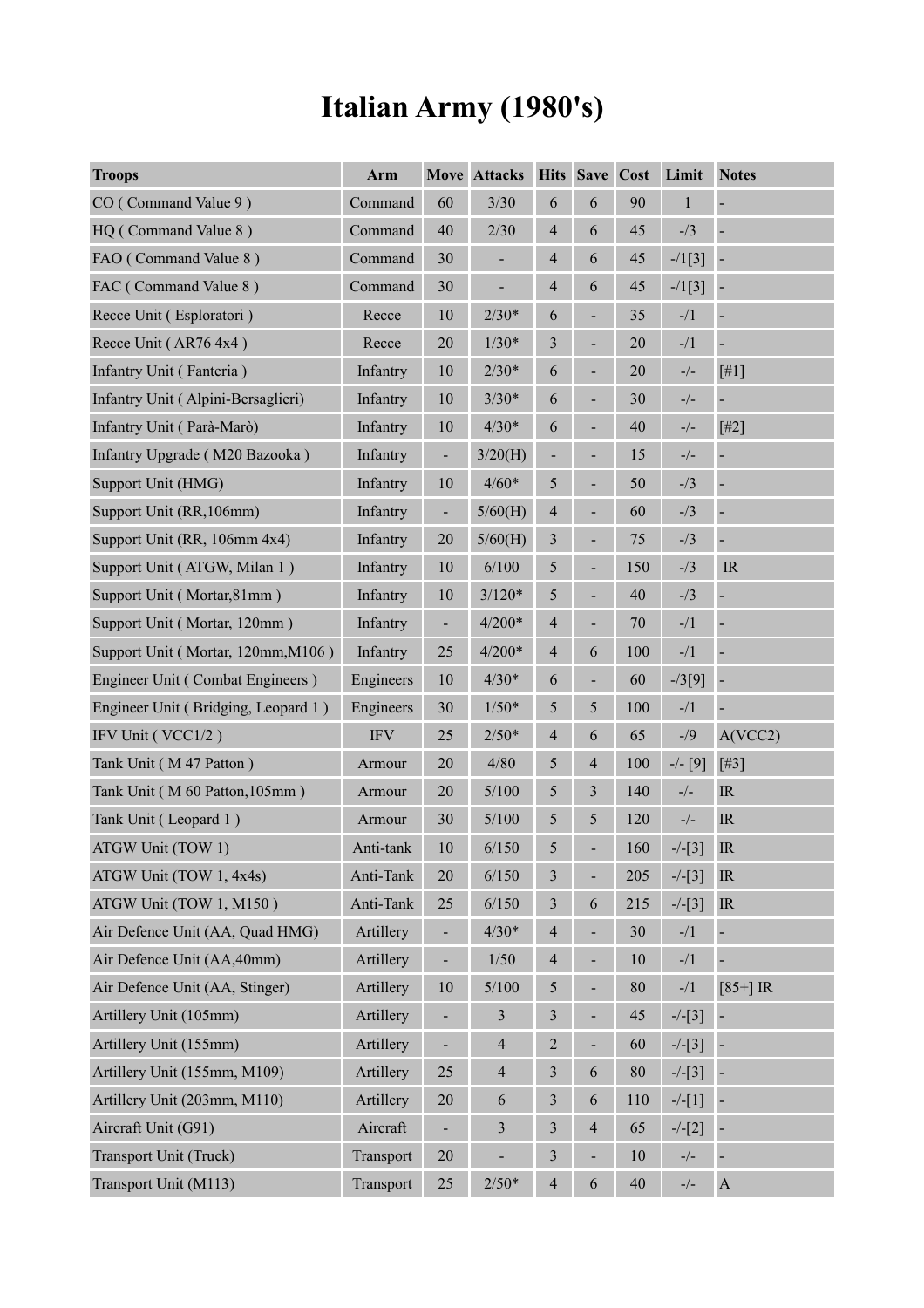# **Italian Army (1980's)**

| <b>Troops</b>                       | <b>Arm</b>           |                          | <b>Move Attacks</b> |                          | <b>Hits Save Cost</b>    |     | Limit        | <b>Notes</b>                      |
|-------------------------------------|----------------------|--------------------------|---------------------|--------------------------|--------------------------|-----|--------------|-----------------------------------|
| CO (Command Value 9)                | Command              | 60                       | 3/30                | 6                        | 6                        | 90  | $\mathbf{1}$ | $\blacksquare$                    |
| HQ (Command Value 8)                | Command              | 40                       | 2/30                | $\overline{4}$           | 6                        | 45  | $- / 3$      | $\blacksquare$                    |
| FAO (Command Value 8)               | Command              | 30                       | $\overline{a}$      | $\overline{4}$           | 6                        | 45  | $-1[3]$      |                                   |
| FAC (Command Value 8)               | Command              | 30                       | -                   | $\overline{4}$           | 6                        | 45  | $-1[3]$      | $\overline{\phantom{a}}$          |
| Recce Unit (Esploratori)            | Recce                | $10\,$                   | $2/30*$             | 6                        |                          | 35  | $-1/1$       | $\overline{\phantom{a}}$          |
| Recce Unit (AR76 4x4)               | Recce                | $20\,$                   | $1/30*$             | 3                        |                          | 20  | $-1/1$       | $\blacksquare$                    |
| Infantry Unit (Fanteria)            | Infantry             | $10\,$                   | $2/30*$             | 6                        |                          | 20  | $-/-$        | [#1]                              |
| Infantry Unit (Alpini-Bersaglieri)  | Infantry             | $10\,$                   | $3/30*$             | 6                        |                          | 30  | $-/-$        | $\blacksquare$                    |
| Infantry Unit (Parà-Marò)           | Infantry             | $10\,$                   | $4/30*$             | 6                        |                          | 40  | $-/-$        | $[#2]$                            |
| Infantry Upgrade (M20 Bazooka)      | Infantry             | $\frac{1}{2}$            | 3/20(H)             |                          |                          | 15  | $-/-$        | $\blacksquare$                    |
| Support Unit (HMG)                  | Infantry             | 10                       | $4/60*$             | 5                        |                          | 50  | $- / 3$      | ÷,                                |
| Support Unit (RR, 106mm)            | Infantry             | $\frac{1}{2}$            | 5/60(H)             | $\overline{\mathcal{A}}$ |                          | 60  | $- / 3$      | ÷                                 |
| Support Unit (RR, 106mm 4x4)        | Infantry             | 20                       | 5/60(H)             | 3                        |                          | 75  | $- / 3$      | ÷                                 |
| Support Unit (ATGW, Milan 1)        | Infantry             | $10\,$                   | 6/100               | 5                        |                          | 150 | $- / 3$      | $\ensuremath{\mathsf{IR}}\xspace$ |
| Support Unit (Mortar, 81mm)         | Infantry             | $10\,$                   | $3/120*$            | 5                        |                          | 40  | $- / 3$      | ÷                                 |
| Support Unit (Mortar, 120mm)        | Infantry             | $\frac{1}{2}$            | $4/200*$            | $\overline{4}$           |                          | 70  | $-1/1$       | ÷                                 |
| Support Unit (Mortar, 120mm, M106)  | Infantry             | 25                       | $4/200*$            | $\overline{4}$           | 6                        | 100 | $-1/1$       | $\blacksquare$                    |
| Engineer Unit (Combat Engineers)    | Engineers            | $10\,$                   | $4/30*$             | 6                        | $\overline{\phantom{0}}$ | 60  | $-73[9]$     | $\overline{\phantom{a}}$          |
| Engineer Unit (Bridging, Leopard 1) | Engineers            | 30                       | $1/50*$             | 5                        | 5                        | 100 | $-1/1$       |                                   |
| IFV Unit (VCC1/2)                   | $\operatorname{IFV}$ | 25                       | $2/50*$             | $\overline{4}$           | 6                        | 65  | $-1/9$       | A(VCC2)                           |
| Tank Unit (M47 Patton)              | Armour               | 20                       | 4/80                | 5                        | $\overline{4}$           | 100 | $-/- [9]$    | $[$ #3]                           |
| Tank Unit (M 60 Patton, 105mm)      | Armour               | $20\,$                   | 5/100               | 5                        | $\mathfrak{Z}$           | 140 | $-/-$        | $\ensuremath{\mathsf{IR}}\xspace$ |
| Tank Unit (Leopard 1)               | Armour               | 30                       | 5/100               | $\mathfrak{S}$           | 5                        | 120 | $-/-$        | $\ensuremath{\mathsf{IR}}\xspace$ |
| ATGW Unit (TOW 1)                   | Anti-tank            | 10                       | 6/150               | 5                        |                          | 160 | $-/-[3]$     | IR                                |
| ATGW Unit (TOW 1, 4x4s)             | Anti-Tank            | $20\,$                   | 6/150               | 3                        | ÷                        | 205 | $-/-[3]$     | IR                                |
| ATGW Unit (TOW 1, M150)             | Anti-Tank            | 25                       | 6/150               | $\mathfrak{Z}$           | 6                        | 215 | $-/-[3]$     | $\ensuremath{\mathsf{IR}}\xspace$ |
| Air Defence Unit (AA, Quad HMG)     | Artillery            | $\blacksquare$           | $4/30*$             | $\overline{4}$           | $\blacksquare$           | 30  | $-1/1$       | $\blacksquare$                    |
| Air Defence Unit (AA, 40mm)         | Artillery            | $\blacksquare$           | $1/50$              | $\overline{4}$           | $\blacksquare$           | 10  | $-1/1$       | $\blacksquare$                    |
| Air Defence Unit (AA, Stinger)      | Artillery            | $10\,$                   | 5/100               | 5                        | ÷,                       | 80  | $-1/1$       | $[85+]$ IR                        |
| Artillery Unit (105mm)              | Artillery            | $\overline{\phantom{0}}$ | $\mathfrak{Z}$      | $\mathfrak{Z}$           | $\blacksquare$           | 45  | $-/-[3]$     |                                   |
| Artillery Unit (155mm)              | Artillery            |                          | $\overline{4}$      | $\overline{c}$           | $\overline{\phantom{0}}$ | 60  | $-/-[3]$     |                                   |
| Artillery Unit (155mm, M109)        | Artillery            | 25                       | $\overline{4}$      | $\mathfrak{Z}$           | 6                        | 80  | $-/-[3]$     |                                   |
| Artillery Unit (203mm, M110)        | Artillery            | $20\,$                   | $\sqrt{6}$          | $\mathfrak{Z}$           | 6                        | 110 | $-/-[1]$     |                                   |
| Aircraft Unit (G91)                 | Aircraft             | $\overline{\phantom{0}}$ | $\mathfrak{Z}$      | $\mathfrak{Z}$           | $\overline{4}$           | 65  | $-/-[2]$     |                                   |
| Transport Unit (Truck)              | Transport            | $20\,$                   |                     | $\mathfrak{Z}$           |                          | 10  | $-/-$        |                                   |
| Transport Unit (M113)               | Transport            | $25\,$                   | $2/50*$             | $\overline{4}$           | 6                        | 40  | $-/-$        | $\boldsymbol{\rm{A}}$             |